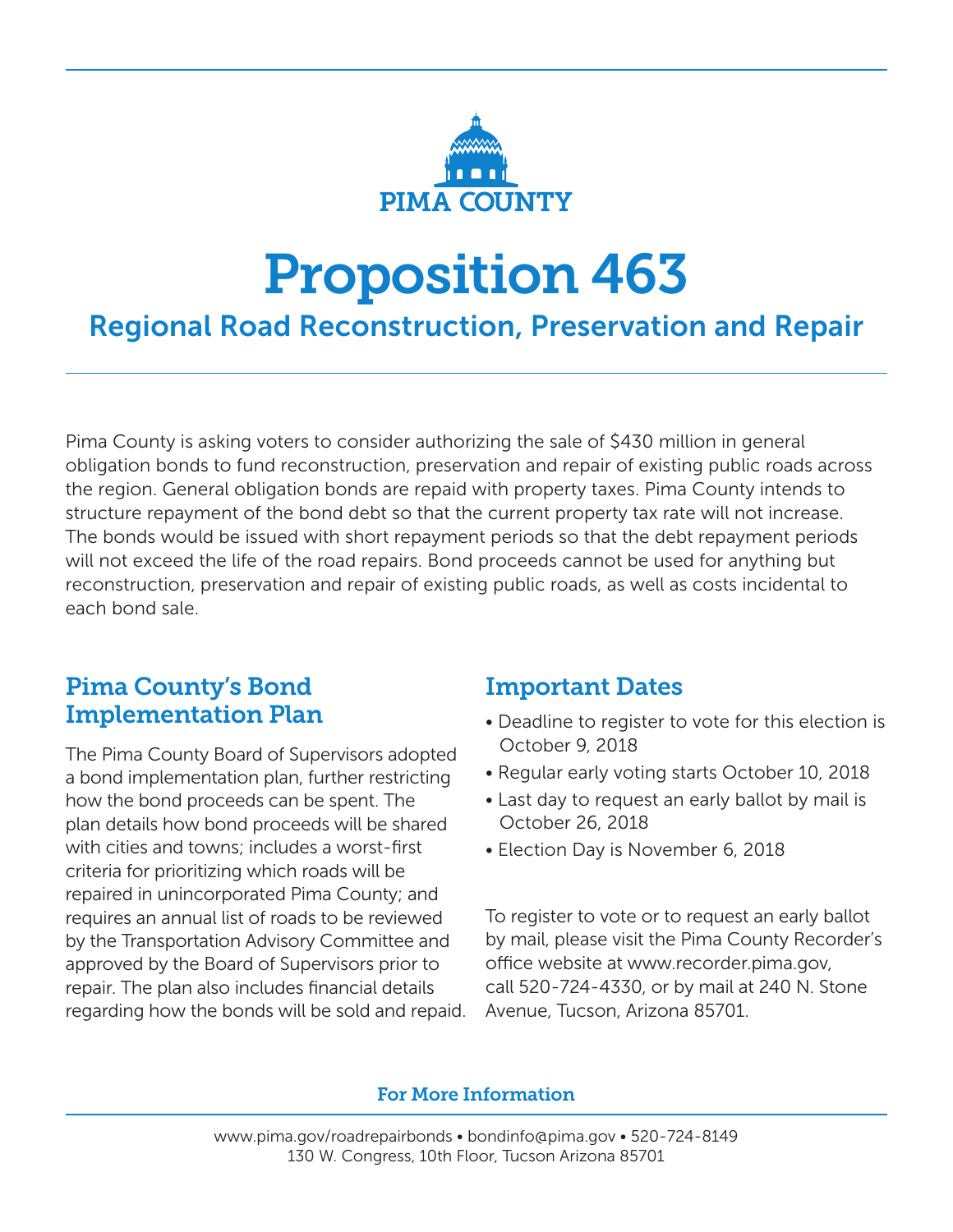

# Proposition 463

# Regional Road Reconstruction, Preservation and Repair

Pima County is asking voters to consider authorizing the sale of \$430 million in general obligation bonds to fund reconstruction, preservation and repair of existing public roads across the region. General obligation bonds are repaid with property taxes. Pima County intends to structure repayment of the bond debt so that the current property tax rate will not increase. The bonds would be issued with short repayment periods so that the debt repayment periods will not exceed the life of the road repairs. Bond proceeds cannot be used for anything but reconstruction, preservation and repair of existing public roads, as well as costs incidental to each bond sale.

## Pima County's Bond Implementation Plan

The Pima County Board of Supervisors adopted a bond implementation plan, further restricting how the bond proceeds can be spent. The plan details how bond proceeds will be shared with cities and towns; includes a worst-first criteria for prioritizing which roads will be repaired in unincorporated Pima County; and requires an annual list of roads to be reviewed by the Transportation Advisory Committee and approved by the Board of Supervisors prior to repair. The plan also includes financial details regarding how the bonds will be sold and repaid.

## Important Dates

- Deadline to register to vote for this election is October 9, 2018
- Regular early voting starts October 10, 2018
- Last day to request an early ballot by mail is October 26, 2018
- Election Day is November 6, 2018

To register to vote or to request an early ballot by mail, please visit the Pima County Recorder's office website at www.recorder.pima.gov, call 520-724-4330, or by mail at 240 N. Stone Avenue, Tucson, Arizona 85701.

## For More Information